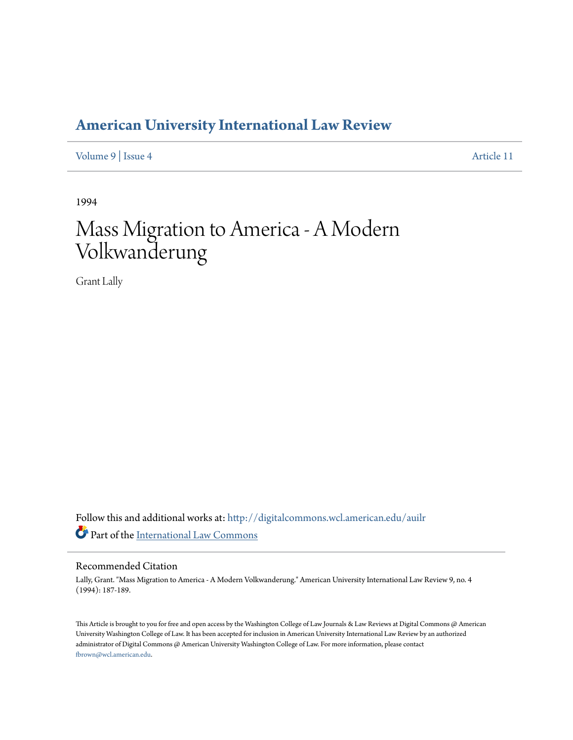## **[American University International Law Review](http://digitalcommons.wcl.american.edu/auilr?utm_source=digitalcommons.wcl.american.edu%2Fauilr%2Fvol9%2Fiss4%2F11&utm_medium=PDF&utm_campaign=PDFCoverPages)**

[Volume 9](http://digitalcommons.wcl.american.edu/auilr/vol9?utm_source=digitalcommons.wcl.american.edu%2Fauilr%2Fvol9%2Fiss4%2F11&utm_medium=PDF&utm_campaign=PDFCoverPages) | [Issue 4](http://digitalcommons.wcl.american.edu/auilr/vol9/iss4?utm_source=digitalcommons.wcl.american.edu%2Fauilr%2Fvol9%2Fiss4%2F11&utm_medium=PDF&utm_campaign=PDFCoverPages) [Article 11](http://digitalcommons.wcl.american.edu/auilr/vol9/iss4/11?utm_source=digitalcommons.wcl.american.edu%2Fauilr%2Fvol9%2Fiss4%2F11&utm_medium=PDF&utm_campaign=PDFCoverPages)

1994

# Mass Migration to America - A Modern Volkwanderung

Grant Lally

Follow this and additional works at: [http://digitalcommons.wcl.american.edu/auilr](http://digitalcommons.wcl.american.edu/auilr?utm_source=digitalcommons.wcl.american.edu%2Fauilr%2Fvol9%2Fiss4%2F11&utm_medium=PDF&utm_campaign=PDFCoverPages) Part of the [International Law Commons](http://network.bepress.com/hgg/discipline/609?utm_source=digitalcommons.wcl.american.edu%2Fauilr%2Fvol9%2Fiss4%2F11&utm_medium=PDF&utm_campaign=PDFCoverPages)

#### Recommended Citation

Lally, Grant. "Mass Migration to America - A Modern Volkwanderung." American University International Law Review 9, no. 4 (1994): 187-189.

This Article is brought to you for free and open access by the Washington College of Law Journals & Law Reviews at Digital Commons @ American University Washington College of Law. It has been accepted for inclusion in American University International Law Review by an authorized administrator of Digital Commons @ American University Washington College of Law. For more information, please contact [fbrown@wcl.american.edu](mailto:fbrown@wcl.american.edu).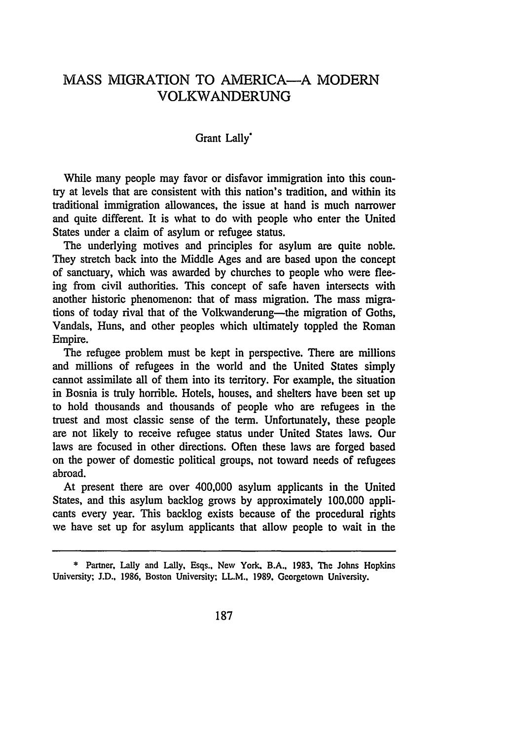### **MASS** MIGRATION TO AMERICA-A MODERN VOLKWANDERUNG

#### Grant Lally'

While many people may favor or disfavor immigration into this country at levels that are consistent with this nation's tradition, and within its traditional immigration allowances, the issue at hand is much narrower and quite different. It is what to do with people who enter the United States under a claim of asylum or refugee status.

The underlying motives and principles for asylum are quite noble. They stretch back into the Middle Ages and are based upon the concept of sanctuary, which was awarded by churches to people who were fleeing from civil authorities. This concept of safe haven intersects with another historic phenomenon: that of mass migration. The mass migrations of today rival that of the Volkwanderung-the migration of Goths, Vandals, Huns, and other peoples which ultimately toppled the Roman Empire.

The refugee problem must be kept in perspective. There are millions and millions of refugees in the world and the United States simply cannot assimilate all of them into its territory. For example, the situation in Bosnia is truly horrible. Hotels, houses, and shelters have been set up to hold thousands and thousands of people who are refugees in the truest and most classic sense of the term. Unfortunately, these people are not likely to receive refugee status under United States laws. Our laws are focused in other directions. Often these laws are forged based on the power of domestic political groups, not toward needs of refugees abroad.

At present there are over 400,000 asylum applicants in the United States, and this asylum backlog grows by approximately 100,000 applicants every year. This backlog exists because of the procedural rights we have set up for asylum applicants that allow people to wait in the

**<sup>\*</sup>** Partner, Lally and Lally, Esqs.. New York. B.A., **1983, The** Johns Hopkins University; J.D., 1986, Boston University; LL.M.. 1989. Georgetown University.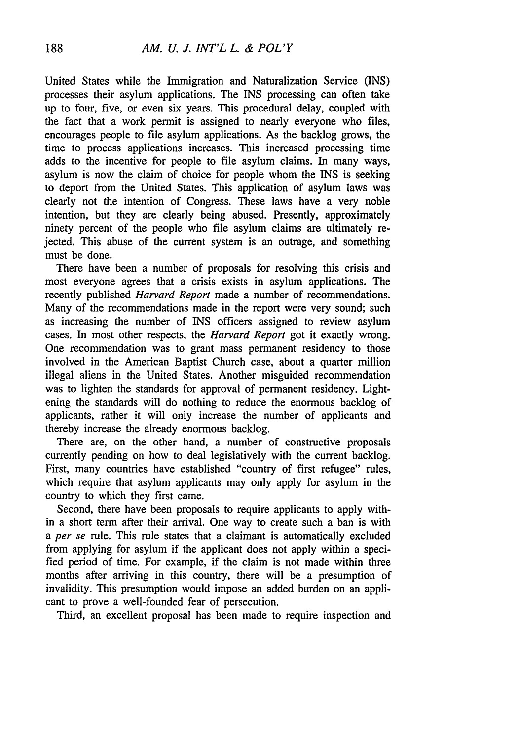United States while the Immigration and Naturalization Service (INS) processes their asylum applications. The INS processing can often take up to four, five, or even six years. This procedural delay, coupled with the fact that a work permit is assigned to nearly everyone who files, encourages people to file asylum applications. As the backlog grows, the time to process applications increases. This increased processing time adds to the incentive for people to file asylum claims. In many ways, asylum is now the claim of choice for people whom the INS is seeking to deport from the United States. This application of asylum laws was clearly not the intention of Congress. These laws have a very noble intention, but they are clearly being abused. Presently, approximately ninety percent of the people who file asylum claims are ultimately rejected. This abuse of the current system is an outrage, and something must be done.

There have been a number of proposals for resolving this crisis and most everyone agrees that a crisis exists in asylum applications. The recently published *Harvard Report* made a number of recommendations. Many of the recommendations made in the report were very sound; such as increasing the number of INS officers assigned to review asylum cases. In most other respects, the *Harvard Report* got it exactly wrong. One recommendation was to grant mass permanent residency to those involved in the American Baptist Church case, about a quarter million illegal aliens in the United States. Another misguided recommendation was to lighten the standards for approval of permanent residency. Lightening the standards will do nothing to reduce the enormous backlog of applicants, rather it will only increase the number of applicants and thereby increase the already enormous backlog.

There are, on the other hand, a number of constructive proposals currently pending on how to deal legislatively with the current backlog. First, many countries have established "country of first refugee" rules, which require that asylum applicants may only apply for asylum in the country to which they first came.

Second, there have been proposals to require applicants to apply within a short term after their arrival. One way to create such a ban is with *a per se* rule. This rule states that a claimant is automatically excluded from applying for asylum if the applicant does not apply within a specified period of time. For example, if the claim is not made within three months after arriving in this country, there will be a presumption of invalidity. This presumption would impose an added burden on an applicant to prove a well-founded fear of persecution.

Third, an excellent proposal has been made to require inspection and